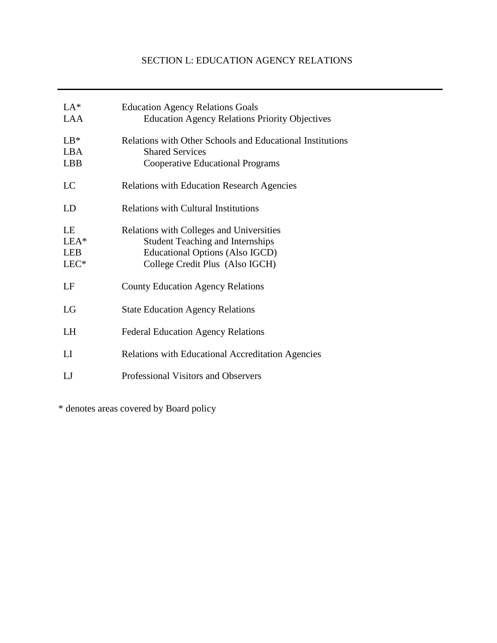# SECTION L: EDUCATION AGENCY RELATIONS

| $LA*$<br>LAA                       | <b>Education Agency Relations Goals</b><br><b>Education Agency Relations Priority Objectives</b>                                                          |
|------------------------------------|-----------------------------------------------------------------------------------------------------------------------------------------------------------|
| $LB*$<br><b>LBA</b><br><b>LBB</b>  | <b>Relations with Other Schools and Educational Institutions</b><br><b>Shared Services</b><br><b>Cooperative Educational Programs</b>                     |
| LC                                 | <b>Relations with Education Research Agencies</b>                                                                                                         |
| LD                                 | <b>Relations with Cultural Institutions</b>                                                                                                               |
| LE<br>LEA*<br><b>LEB</b><br>$LEC*$ | Relations with Colleges and Universities<br><b>Student Teaching and Internships</b><br>Educational Options (Also IGCD)<br>College Credit Plus (Also IGCH) |
| LF                                 | <b>County Education Agency Relations</b>                                                                                                                  |
| LG                                 | <b>State Education Agency Relations</b>                                                                                                                   |
| <b>LH</b>                          | <b>Federal Education Agency Relations</b>                                                                                                                 |
| LI                                 | <b>Relations with Educational Accreditation Agencies</b>                                                                                                  |
| IJ                                 | Professional Visitors and Observers                                                                                                                       |

\* denotes areas covered by Board policy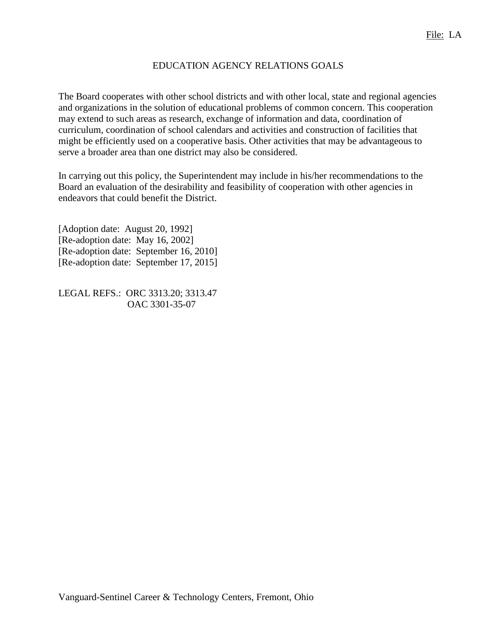#### EDUCATION AGENCY RELATIONS GOALS

The Board cooperates with other school districts and with other local, state and regional agencies and organizations in the solution of educational problems of common concern. This cooperation may extend to such areas as research, exchange of information and data, coordination of curriculum, coordination of school calendars and activities and construction of facilities that might be efficiently used on a cooperative basis. Other activities that may be advantageous to serve a broader area than one district may also be considered.

In carrying out this policy, the Superintendent may include in his/her recommendations to the Board an evaluation of the desirability and feasibility of cooperation with other agencies in endeavors that could benefit the District.

[Adoption date: August 20, 1992] [Re-adoption date: May 16, 2002] [Re-adoption date: September 16, 2010] [Re-adoption date: September 17, 2015]

LEGAL REFS.: ORC 3313.20; 3313.47 OAC 3301-35-07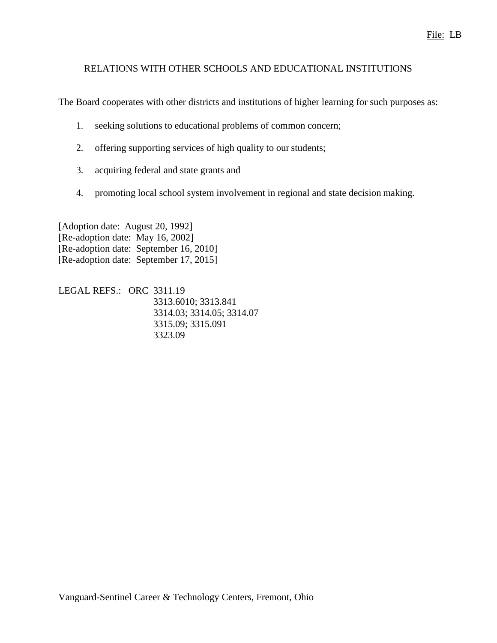## RELATIONS WITH OTHER SCHOOLS AND EDUCATIONAL INSTITUTIONS

The Board cooperates with other districts and institutions of higher learning for such purposes as:

- 1. seeking solutions to educational problems of common concern;
- 2. offering supporting services of high quality to our students;
- 3. acquiring federal and state grants and
- 4. promoting local school system involvement in regional and state decision making.

[Adoption date: August 20, 1992] [Re-adoption date: May 16, 2002] [Re-adoption date: September 16, 2010] [Re-adoption date: September 17, 2015]

LEGAL REFS.: ORC 3311.19 3313.6010; 3313.841 3314.03; 3314.05; 3314.07 3315.09; 3315.091 3323.09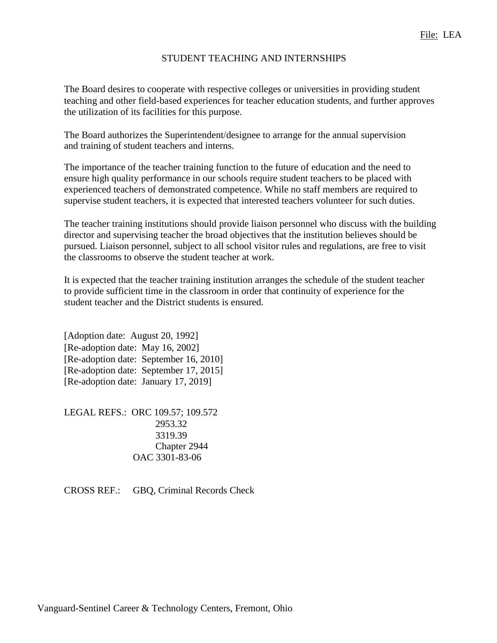#### STUDENT TEACHING AND INTERNSHIPS

The Board desires to cooperate with respective colleges or universities in providing student teaching and other field-based experiences for teacher education students, and further approves the utilization of its facilities for this purpose.

The Board authorizes the Superintendent/designee to arrange for the annual supervision and training of student teachers and interns.

The importance of the teacher training function to the future of education and the need to ensure high quality performance in our schools require student teachers to be placed with experienced teachers of demonstrated competence. While no staff members are required to supervise student teachers, it is expected that interested teachers volunteer for such duties.

The teacher training institutions should provide liaison personnel who discuss with the building director and supervising teacher the broad objectives that the institution believes should be pursued. Liaison personnel, subject to all school visitor rules and regulations, are free to visit the classrooms to observe the student teacher at work.

It is expected that the teacher training institution arranges the schedule of the student teacher to provide sufficient time in the classroom in order that continuity of experience for the student teacher and the District students is ensured.

[Adoption date: August 20, 1992] [Re-adoption date: May 16, 2002] [Re-adoption date: September 16, 2010] [Re-adoption date: September 17, 2015] [Re-adoption date: January 17, 2019]

LEGAL REFS.: ORC 109.57; 109.572 2953.32 3319.39 Chapter 2944 OAC 3301-83-06

CROSS REF.: GBQ, Criminal Records Check